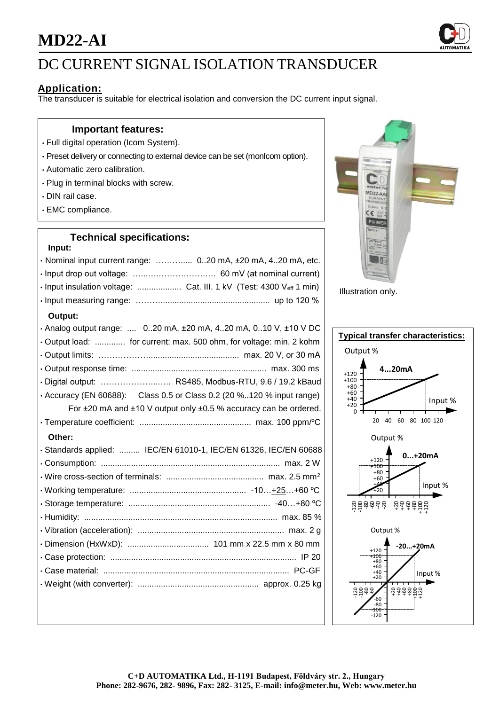## **MD22-AI**



### DC CURRENT SIGNAL ISOLATION TRANSDUCER

### **Application:**

The transducer is suitable for electrical isolation and conversion the DC current input signal.

#### **Important features:**

- Full digital operation (Icom System).
- Preset delivery or connecting to external device can be set (monIcom option).
- Automatic zero calibration.
- Plug in terminal blocks with screw.
- DIN rail case.
- EMC compliance.

### **Technical specifications:**

#### **Input:**

| · Nominal input current range:  0.20 mA, ±20 mA, 4.20 mA, etc.              |
|-----------------------------------------------------------------------------|
|                                                                             |
| · Input insulation voltage:  Cat. III. 1 kV (Test: 4300 Veff 1 min)         |
|                                                                             |
| Output:                                                                     |
| . Analog output range:  020 mA, ±20 mA, 420 mA, 010 V, ±10 V DC             |
| Output load:  for current: max. 500 ohm, for voltage: min. 2 kohm           |
|                                                                             |
|                                                                             |
| · Digital output:  RS485, Modbus-RTU, 9.6 / 19.2 kBaud                      |
| $\cdot$ Accuracy (EN 60688): Class 0.5 or Class 0.2 (20 %120 % input range) |
| For ±20 mA and ±10 V output only ±0.5 % accuracy can be ordered.            |
|                                                                             |
| Other:                                                                      |
| · Standards applied:  IEC/EN 61010-1, IEC/EN 61326, IEC/EN 60688            |
|                                                                             |
|                                                                             |
|                                                                             |
|                                                                             |
|                                                                             |
|                                                                             |
|                                                                             |
|                                                                             |
|                                                                             |
|                                                                             |
|                                                                             |



Illustration only.